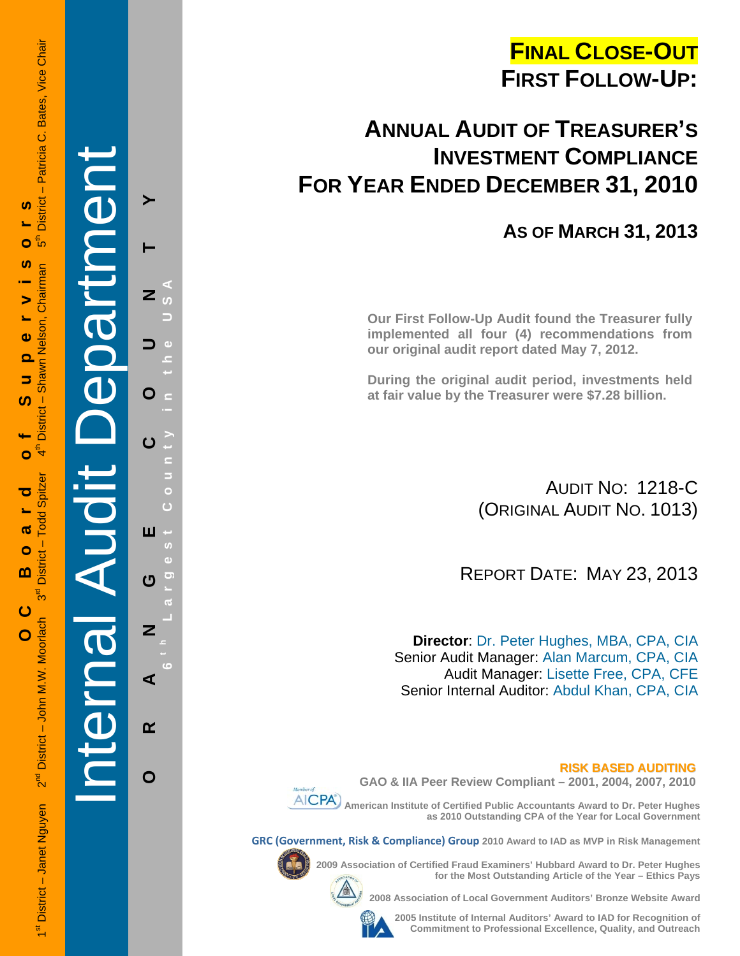# **FINAL CLOSE-OUT FIRST FOLLOW-UP:**

# **ANNUAL AUDIT OF TREASURER'S INVESTMENT COMPLIANCE FOR YEAR ENDED DECEMBER 31, 2010**

## **AS OF MARCH 31, 2013**

**Our First Follow-Up Audit found the Treasurer fully implemented all four (4) recommendations from our original audit report dated May 7, 2012.** 

**During the original audit period, investments held at fair value by the Treasurer were \$7.28 billion.** 

> AUDIT NO: 1218-C (ORIGINAL AUDIT NO. 1013)

REPORT DATE: MAY 23, 2013

**Director**: Dr. Peter Hughes, MBA, CPA, CIA Senior Audit Manager: Alan Marcum, CPA, CIA Audit Manager: Lisette Free, CPA, CFE Senior Internal Auditor: Abdul Khan, CPA, CIA

**RISK BASED AUDITING**



**GAO & IIA Peer Review Compliant – 2001, 2004, 2007, 2010** 

 **American Institute of Certified Public Accountants Award to Dr. Peter Hughes as 2010 Outstanding CPA of the Year for Local Government** 

**GRC (Government, Risk & Compliance) Group 2010 Award to IAD as MVP in Risk Management** 



**2009 Association of Certified Fraud Examiners' Hubbard Award to Dr. Peter Hughes** 



**2008 Association of Local Government Auditors' Bronze Website Award** 

**2005 Institute of Internal Auditors' Award to IAD for Recognition of Commitment to Professional Excellence, Quality, and Outreach**

**for the Most Outstanding Article of the Year – Ethics Pays** 

1st District – Janet Nguyen 2<sup>nd</sup> District – John M.W. Moorlach 3<sup>rd</sup> District – Todd Spitzer 4th District – Shawn Nelson, Chairman 5th District – Patricia C. Bates, Vice Chair - Patricia C. Bates, Vice Chair **District** <u>ທ</u> **OC Board of Supervisors** ⊕ً Ō <u>ທ</u> District - Shawn Nelson, Chairman  $\blacktriangleright$  $\ddot{\mathbf{0}}$  $\overline{\mathbf{o}}$ 5 <u>ທ</u>  $\mathbf{f}^{\mathsf{E}}$ Ó - Todd Spitzer ರ ൹  $\bullet$ **District**  $\mathbf{m}$ შ<br>თ ပ 2<sup>nd</sup> District - John M.W. Moorlach  $\overline{O}$ 1<sup>st</sup> District - Janet Nguyen

Internal Audit Department **ORANGE COUNTY 6 t h Lar** ≻  $\overline{z}$ O ш  $\boldsymbol{\sigma}$  $\overline{z}$ ⋖  $\alpha$ 

**g**

 $\mathbf O$ 

**est Count**

**y in the USA**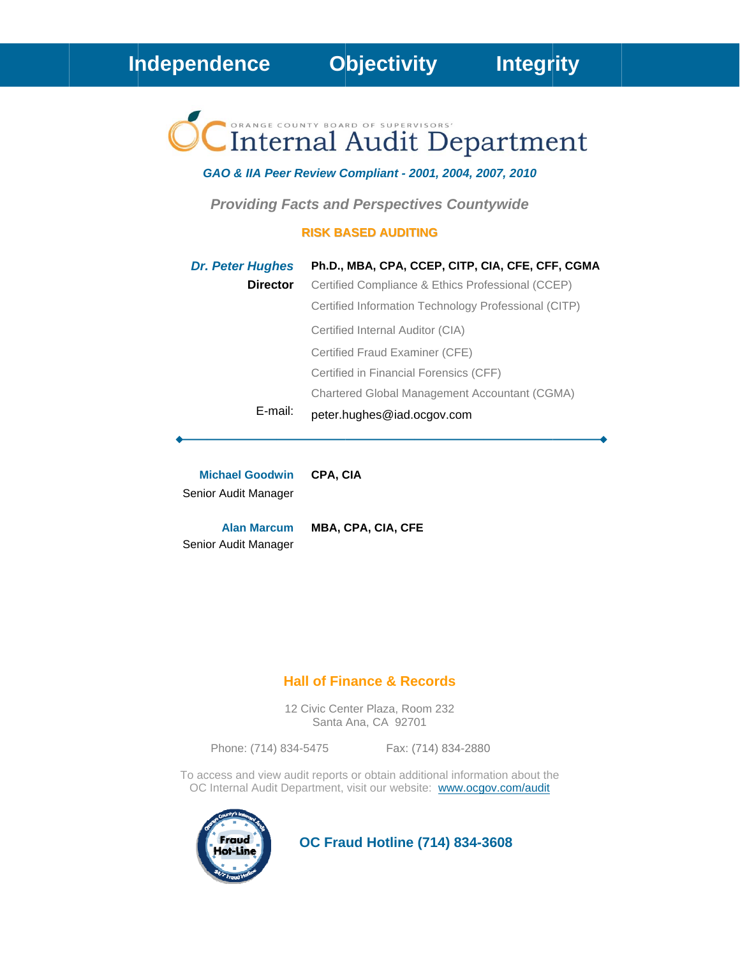# Internal Audit Department

#### GAO & IIA Peer Review Compliant - 2001, 2004, 2007, 2010

**Providing Facts and Perspectives Countywide** 

#### **RISK BASED AUDITING**

| <b>Dr. Peter Hughes</b> | Ph.D., MBA, CPA, CCEP, CITP, CIA, CFE, CFF, CGMA     |
|-------------------------|------------------------------------------------------|
| <b>Director</b>         | Certified Compliance & Ethics Professional (CCEP)    |
|                         | Certified Information Technology Professional (CITP) |
|                         | Certified Internal Auditor (CIA)                     |
|                         | Certified Fraud Examiner (CFE)                       |
|                         | Certified in Financial Forensics (CFF)               |
|                         | Chartered Global Management Accountant (CGMA)        |
| E-mail:                 | peter.hughes@iad.ocgov.com                           |

**Michael Goodwin** CPA, CIA Senior Audit Manager

**Alan Marcum** Senior Audit Manager

MBA, CPA, CIA, CFE

#### **Hall of Finance & Records**

12 Civic Center Plaza, Room 232 Santa Ana, CA 92701

Phone: (714) 834-5475

Fax: (714) 834-2880

To access and view audit reports or obtain additional information about the OC Internal Audit Department, visit our website: www.ocgov.com/audit



**OC Fraud Hotline (714) 834-3608**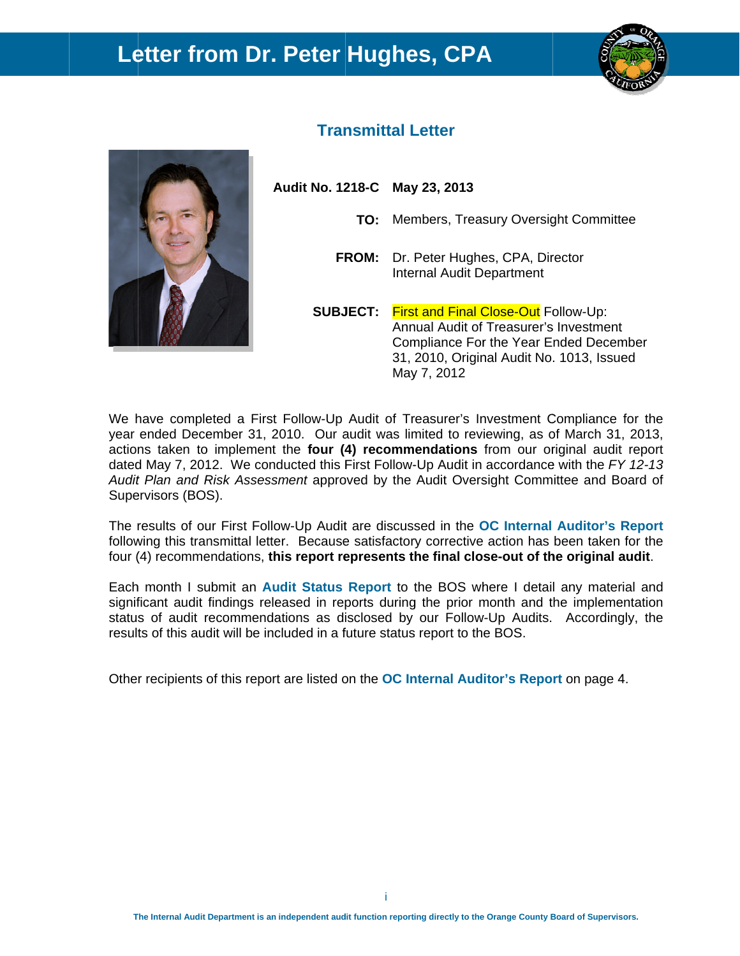## Letter from Dr. Peter Hughes, CPA





### **Transmittal Letter**

Audit No. 1218-C May 23, 2013

- TO: Members, Treasury Oversight Committee
- FROM: Dr. Peter Hughes, CPA, Director **Internal Audit Department**

**SUBJECT:** First and Final Close-Out Follow-Up: Annual Audit of Treasurer's Investment Compliance For the Year Ended December 31, 2010, Original Audit No. 1013, Issued May 7, 2012

We have completed a First Follow-Up Audit of Treasurer's Investment Compliance for the year ended December 31, 2010. Our audit was limited to reviewing, as of March 31, 2013, actions taken to implement the four (4) recommendations from our original audit report dated May 7, 2012. We conducted this First Follow-Up Audit in accordance with the FY 12-13 Audit Plan and Risk Assessment approved by the Audit Oversight Committee and Board of Supervisors (BOS).

The results of our First Follow-Up Audit are discussed in the OC Internal Auditor's Report following this transmittal letter. Because satisfactory corrective action has been taken for the four (4) recommendations, this report represents the final close-out of the original audit.

Each month I submit an Audit Status Report to the BOS where I detail any material and significant audit findings released in reports during the prior month and the implementation status of audit recommendations as disclosed by our Follow-Up Audits. Accordingly, the results of this audit will be included in a future status report to the BOS.

Other recipients of this report are listed on the OC Internal Auditor's Report on page 4.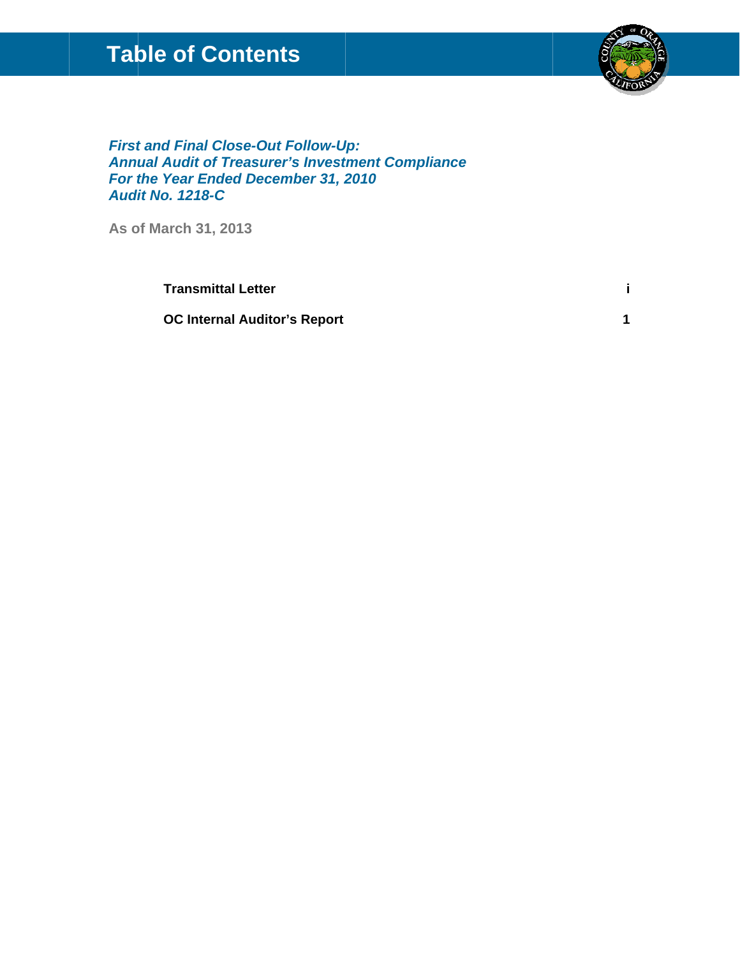## **Table of Contents**



 $\mathbf{i}$ 

 $\overline{1}$ 

**First and Final Close-Out Follow-Up: Annual Audit of Treasurer's Investment Compliance** For the Year Ended December 31, 2010 **Audit No. 1218-C** 

As of March 31, 2013

**Transmittal Letter** 

**OC Internal Auditor's Report**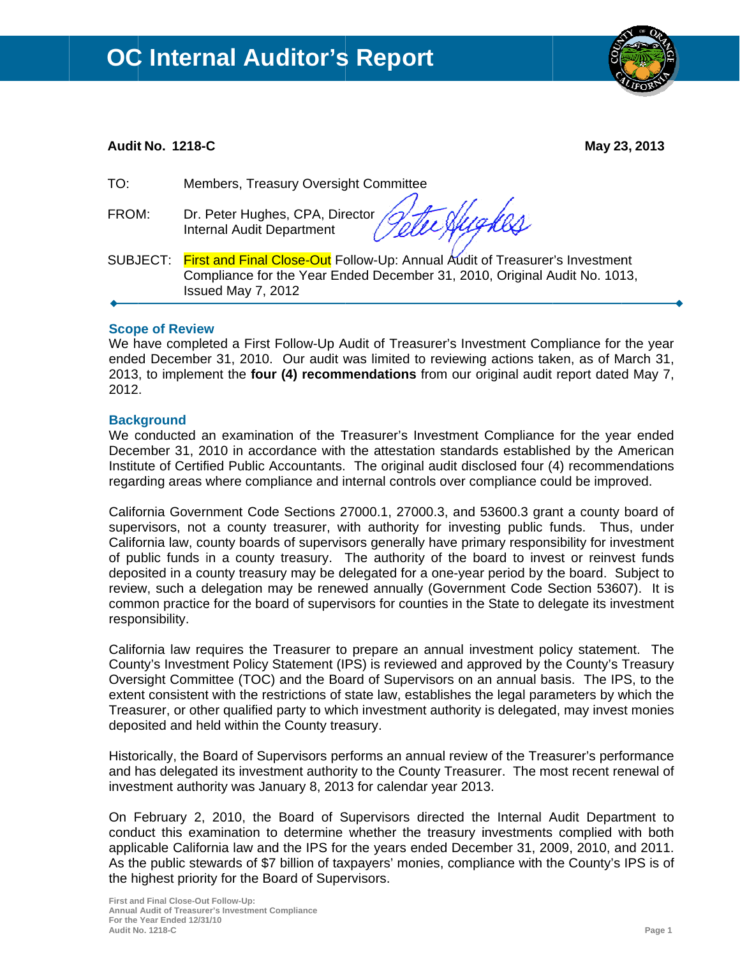

#### **Audit No. 1218-C**

May 23, 2013

TO: Members, Treasury Oversight Committee

FROM: Dr. Peter Hughes, CPA, Director **Internal Audit Department** 

Exhigher

SUBJECT: First and Final Close-Out Follow-Up: Annual Audit of Treasurer's Investment Compliance for the Year Ended December 31, 2010, Original Audit No. 1013, Issued May 7, 2012

#### **Scope of Review**

We have completed a First Follow-Up Audit of Treasurer's Investment Compliance for the year ended December 31, 2010. Our audit was limited to reviewing actions taken, as of March 31, 2013, to implement the four (4) recommendations from our original audit report dated May 7, 2012.

#### **Background**

We conducted an examination of the Treasurer's Investment Compliance for the year ended December 31, 2010 in accordance with the attestation standards established by the American Institute of Certified Public Accountants. The original audit disclosed four (4) recommendations regarding areas where compliance and internal controls over compliance could be improved.

California Government Code Sections 27000.1, 27000.3, and 53600.3 grant a county board of supervisors, not a county treasurer, with authority for investing public funds. Thus, under California law, county boards of supervisors generally have primary responsibility for investment of public funds in a county treasury. The authority of the board to invest or reinvest funds deposited in a county treasury may be delegated for a one-year period by the board. Subject to review, such a delegation may be renewed annually (Government Code Section 53607). It is common practice for the board of supervisors for counties in the State to delegate its investment responsibility.

California law requires the Treasurer to prepare an annual investment policy statement. The County's Investment Policy Statement (IPS) is reviewed and approved by the County's Treasury Oversight Committee (TOC) and the Board of Supervisors on an annual basis. The IPS, to the extent consistent with the restrictions of state law, establishes the legal parameters by which the Treasurer, or other qualified party to which investment authority is delegated, may invest monies deposited and held within the County treasury.

Historically, the Board of Supervisors performs an annual review of the Treasurer's performance and has delegated its investment authority to the County Treasurer. The most recent renewal of investment authority was January 8, 2013 for calendar year 2013.

On February 2, 2010, the Board of Supervisors directed the Internal Audit Department to conduct this examination to determine whether the treasury investments complied with both applicable California law and the IPS for the years ended December 31, 2009, 2010, and 2011. As the public stewards of \$7 billion of taxpayers' monies, compliance with the County's IPS is of the highest priority for the Board of Supervisors.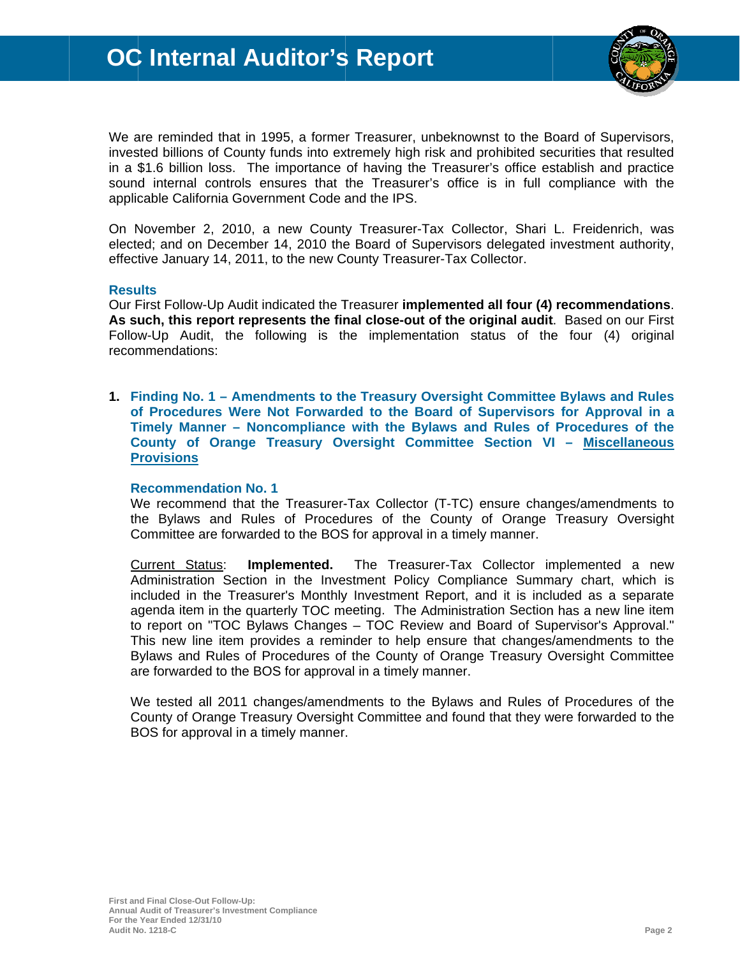

We are reminded that in 1995, a former Treasurer, unbeknownst to the Board of Supervisors, invested billions of County funds into extremely high risk and prohibited securities that resulted in a \$1.6 billion loss. The importance of having the Treasurer's office establish and practice sound internal controls ensures that the Treasurer's office is in full compliance with the applicable California Government Code and the IPS.

On November 2, 2010, a new County Treasurer-Tax Collector, Shari L. Freidenrich, was elected; and on December 14, 2010 the Board of Supervisors delegated investment authority, effective January 14, 2011, to the new County Treasurer-Tax Collector.

#### **Results**

Our First Follow-Up Audit indicated the Treasurer implemented all four (4) recommendations. As such, this report represents the final close-out of the original audit. Based on our First Follow-Up Audit, the following is the implementation status of the four (4) original recommendations:

1. Finding No. 1 – Amendments to the Treasury Oversight Committee Bylaws and Rules of Procedures Were Not Forwarded to the Board of Supervisors for Approval in a Timely Manner - Noncompliance with the Bylaws and Rules of Procedures of the County of Orange Treasury Oversight Committee Section VI - Miscellaneous **Provisions** 

#### **Recommendation No. 1**

We recommend that the Treasurer-Tax Collector (T-TC) ensure changes/amendments to the Bylaws and Rules of Procedures of the County of Orange Treasury Oversight Committee are forwarded to the BOS for approval in a timely manner.

Current Status: Implemented. The Treasurer-Tax Collector implemented a new Administration Section in the Investment Policy Compliance Summary chart, which is included in the Treasurer's Monthly Investment Report, and it is included as a separate agenda item in the quarterly TOC meeting. The Administration Section has a new line item to report on "TOC Bylaws Changes - TOC Review and Board of Supervisor's Approval." This new line item provides a reminder to help ensure that changes/amendments to the Bylaws and Rules of Procedures of the County of Orange Treasury Oversight Committee are forwarded to the BOS for approval in a timely manner.

We tested all 2011 changes/amendments to the Bylaws and Rules of Procedures of the County of Orange Treasury Oversight Committee and found that they were forwarded to the BOS for approval in a timely manner.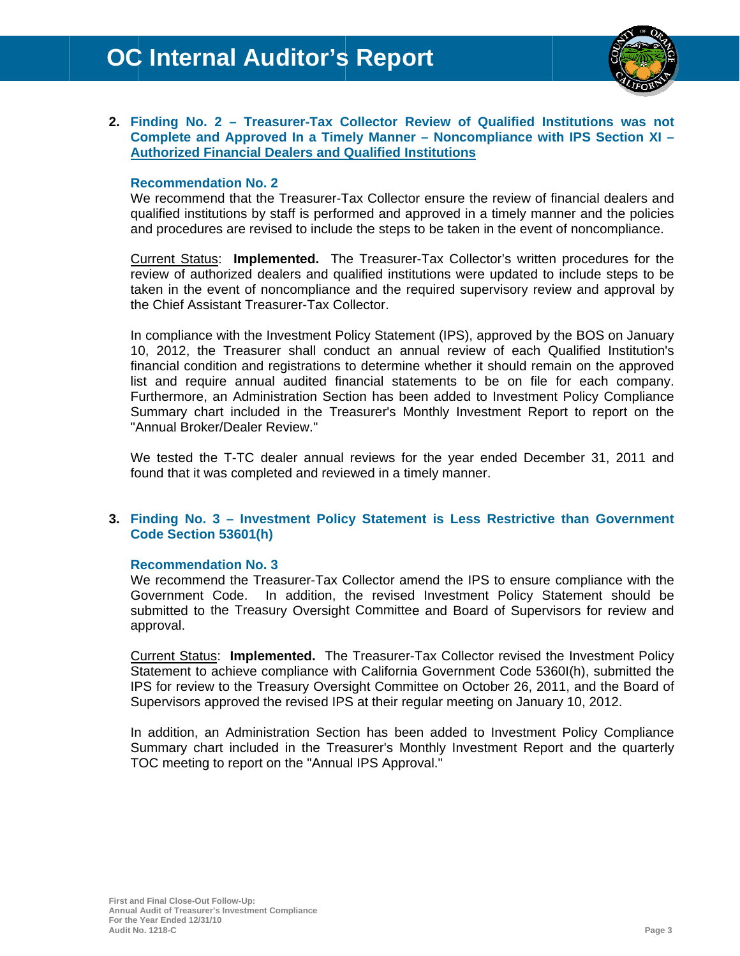

#### 2. Finding No. 2 - Treasurer-Tax Collector Review of Qualified Institutions was not Complete and Approved In a Timely Manner - Noncompliance with IPS Section XI -**Authorized Financial Dealers and Qualified Institutions**

#### **Recommendation No. 2**

We recommend that the Treasurer-Tax Collector ensure the review of financial dealers and qualified institutions by staff is performed and approved in a timely manner and the policies and procedures are revised to include the steps to be taken in the event of noncompliance.

Current Status: Implemented. The Treasurer-Tax Collector's written procedures for the review of authorized dealers and qualified institutions were updated to include steps to be taken in the event of noncompliance and the required supervisory review and approval by the Chief Assistant Treasurer-Tax Collector.

In compliance with the Investment Policy Statement (IPS), approved by the BOS on January 10, 2012, the Treasurer shall conduct an annual review of each Qualified Institution's financial condition and registrations to determine whether it should remain on the approved list and require annual audited financial statements to be on file for each company. Furthermore, an Administration Section has been added to Investment Policy Compliance Summary chart included in the Treasurer's Monthly Investment Report to report on the "Annual Broker/Dealer Review."

We tested the T-TC dealer annual reviews for the year ended December 31, 2011 and found that it was completed and reviewed in a timely manner.

#### 3. Finding No. 3 - Investment Policy Statement is Less Restrictive than Government Code Section 53601(h)

#### **Recommendation No. 3**

We recommend the Treasurer-Tax Collector amend the IPS to ensure compliance with the Government Code. In addition, the revised Investment Policy Statement should be submitted to the Treasury Oversight Committee and Board of Supervisors for review and approval.

Current Status: Implemented. The Treasurer-Tax Collector revised the Investment Policy Statement to achieve compliance with California Government Code 5360I(h), submitted the IPS for review to the Treasury Oversight Committee on October 26, 2011, and the Board of Supervisors approved the revised IPS at their regular meeting on January 10, 2012.

In addition, an Administration Section has been added to Investment Policy Compliance Summary chart included in the Treasurer's Monthly Investment Report and the quarterly TOC meeting to report on the "Annual IPS Approval."